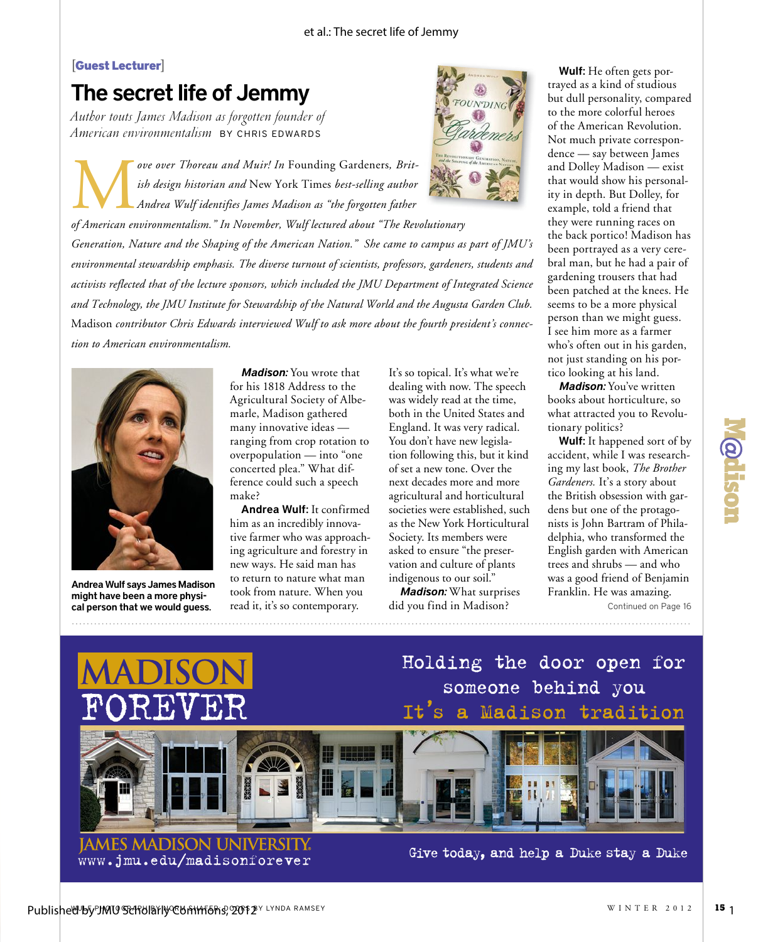## **[**Guest Lecturer**]**

## The secret life of Jemmy

*Author touts James Madison as forgotten founder of American environmentalism* BY CHRIS EDWARDS



ove over Thoreau and Muir! In Founding Gardeners, Brit-<br>
ish design historian and New York Times best-selling author<br>
Andrea Wulf identifies James Madison as "the forgotten father<br>
of American environmentalism." In Novembe *ove over Thoreau and Muir! In* Founding Gardeners*, British design historian and* New York Times *best-selling author Andrea Wulf identifies James Madison as "the forgotten father* 

*Generation, Nature and the Shaping of the American Nation." She came to campus as part of JMU's environmental stewardship emphasis. The diverse turnout of scientists, professors, gardeners, students and activists reflected that of the lecture sponsors, which included the JMU Department of Integrated Science and Technology, the JMU Institute for Stewardship of the Natural World and the Augusta Garden Club.*  Madison *contributor Chris Edwards interviewed Wulf to ask more about the fourth president's connection to American environmentalism.*



Andrea Wulf says James Madison might have been a more physical person that we would guess. read it, it's so contemporary. did you find in Madison? Continued on Page 16

*Madison:* You wrote that for his 1818 Address to the Agricultural Society of Albemarle, Madison gathered many innovative ideas ranging from crop rotation to overpopulation — into "one concerted plea." What difference could such a speech make?

Andrea Wulf: It confirmed him as an incredibly innovative farmer who was approaching agriculture and forestry in new ways. He said man has to return to nature what man took from nature. When you read it, it's so contemporary.

It's so topical. It's what we're dealing with now. The speech was widely read at the time, both in the United States and England. It was very radical. You don't have new legislation following this, but it kind of set a new tone. Over the next decades more and more agricultural and horticultural societies were established, such as the New York Horticultural Society. Its members were asked to ensure "the preservation and culture of plants indigenous to our soil."

*Madison:* What surprises did you find in Madison?

Wulf: He often gets portrayed as a kind of studious but dull personality, compared to the more colorful heroes of the American Revolution. Not much private correspondence — say between James and Dolley Madison — exist that would show his personality in depth. But Dolley, for example, told a friend that they were running races on the back portico! Madison has been portrayed as a very cerebral man, but he had a pair of gardening trousers that had been patched at the knees. He seems to be a more physical person than we might guess. I see him more as a farmer who's often out in his garden, not just standing on his portico looking at his land.

*Madison:* You've written books about horticulture, so what attracted you to Revolutionary politics?

Wulf: It happened sort of by accident, while I was researching my last book, *The Brother Gardeners.* It's a story about the British obsession with gardens but one of the protagonists is John Bartram of Philadelphia, who transformed the English garden with American trees and shrubs — and who was a good friend of Benjamin Franklin. He was amazing.

**Qoifsol** 



JAMES MADISON UNIVERSITY<br>www.jmu.edu/madisonforever Give today, and help a Duke stay a Duke